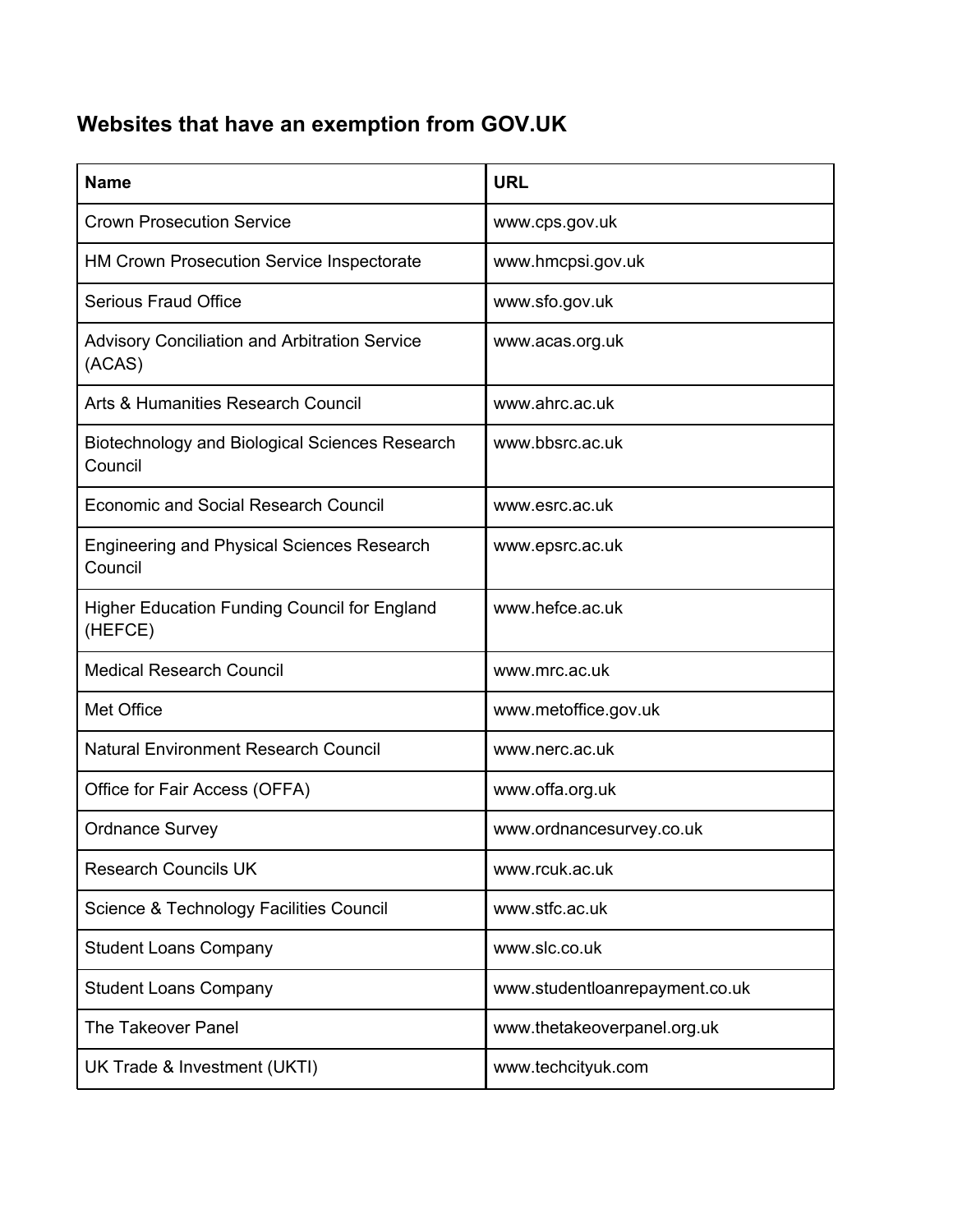## **Websites that have an exemption from GOV.UK**

| <b>Name</b>                                                    | <b>URL</b>                     |
|----------------------------------------------------------------|--------------------------------|
| <b>Crown Prosecution Service</b>                               | www.cps.gov.uk                 |
| <b>HM Crown Prosecution Service Inspectorate</b>               | www.hmcpsi.gov.uk              |
| <b>Serious Fraud Office</b>                                    | www.sfo.gov.uk                 |
| <b>Advisory Conciliation and Arbitration Service</b><br>(ACAS) | www.acas.org.uk                |
| Arts & Humanities Research Council                             | www.ahrc.ac.uk                 |
| Biotechnology and Biological Sciences Research<br>Council      | www.bbsrc.ac.uk                |
| <b>Economic and Social Research Council</b>                    | www.esrc.ac.uk                 |
| <b>Engineering and Physical Sciences Research</b><br>Council   | www.epsrc.ac.uk                |
| Higher Education Funding Council for England<br>(HEFCE)        | www.hefce.ac.uk                |
| <b>Medical Research Council</b>                                | www.mrc.ac.uk                  |
| Met Office                                                     | www.metoffice.gov.uk           |
| <b>Natural Environment Research Council</b>                    | www.nerc.ac.uk                 |
| Office for Fair Access (OFFA)                                  | www.offa.org.uk                |
| <b>Ordnance Survey</b>                                         | www.ordnancesurvey.co.uk       |
| <b>Research Councils UK</b>                                    | www.rcuk.ac.uk                 |
| Science & Technology Facilities Council                        | www.stfc.ac.uk                 |
| <b>Student Loans Company</b>                                   | www.slc.co.uk                  |
| <b>Student Loans Company</b>                                   | www.studentloanrepayment.co.uk |
| The Takeover Panel                                             | www.thetakeoverpanel.org.uk    |
| UK Trade & Investment (UKTI)                                   | www.techcityuk.com             |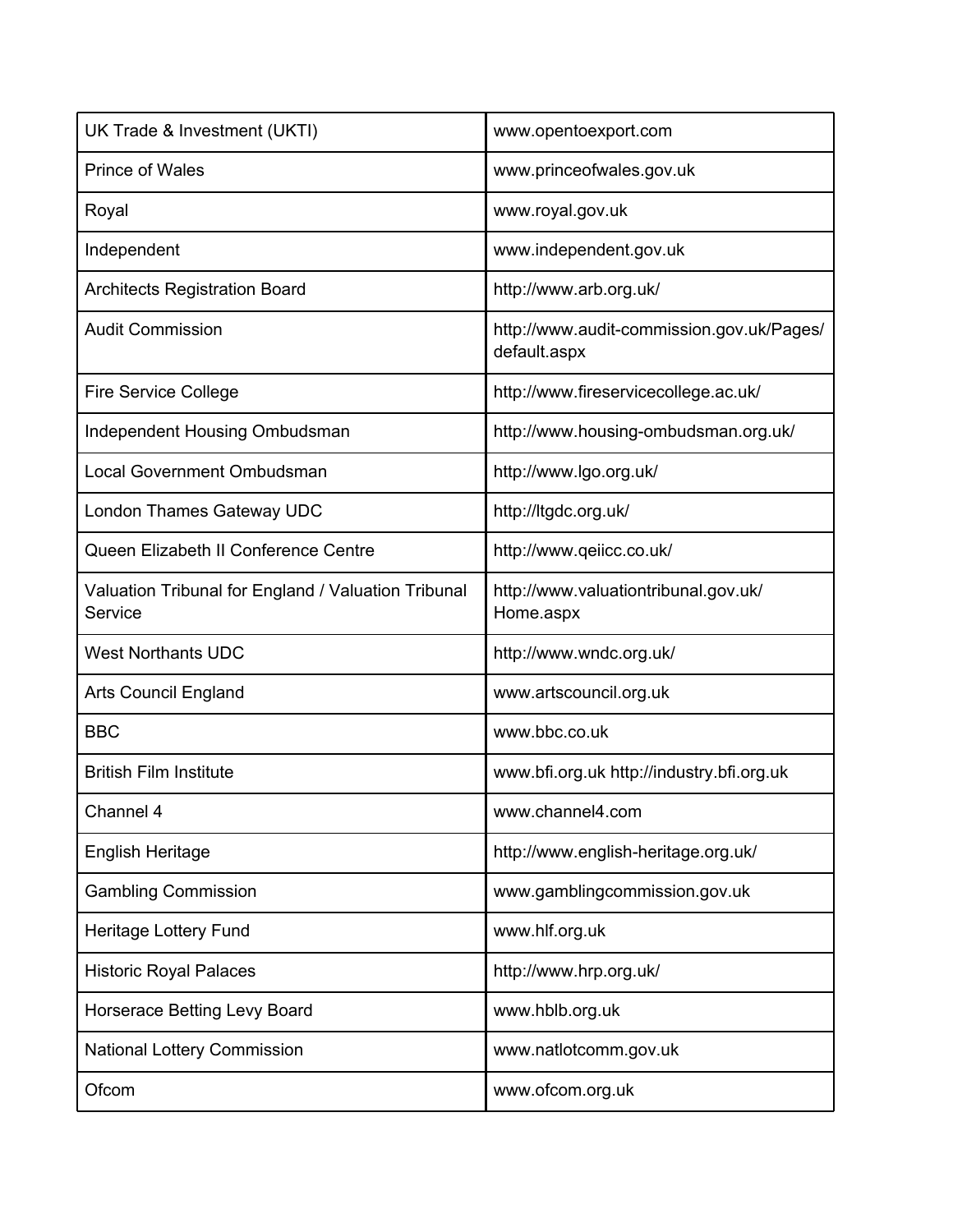| UK Trade & Investment (UKTI)                                   | www.opentoexport.com                                      |
|----------------------------------------------------------------|-----------------------------------------------------------|
| Prince of Wales                                                | www.princeofwales.gov.uk                                  |
| Royal                                                          | www.royal.gov.uk                                          |
| Independent                                                    | www.independent.gov.uk                                    |
| <b>Architects Registration Board</b>                           | http://www.arb.org.uk/                                    |
| <b>Audit Commission</b>                                        | http://www.audit-commission.gov.uk/Pages/<br>default.aspx |
| <b>Fire Service College</b>                                    | http://www.fireservicecollege.ac.uk/                      |
| Independent Housing Ombudsman                                  | http://www.housing-ombudsman.org.uk/                      |
| <b>Local Government Ombudsman</b>                              | http://www.lgo.org.uk/                                    |
| London Thames Gateway UDC                                      | http://ltgdc.org.uk/                                      |
| Queen Elizabeth II Conference Centre                           | http://www.qeiicc.co.uk/                                  |
| Valuation Tribunal for England / Valuation Tribunal<br>Service | http://www.valuationtribunal.gov.uk/<br>Home.aspx         |
| <b>West Northants UDC</b>                                      | http://www.wndc.org.uk/                                   |
| Arts Council England                                           | www.artscouncil.org.uk                                    |
| <b>BBC</b>                                                     | www.bbc.co.uk                                             |
| <b>British Film Institute</b>                                  | www.bfi.org.uk http://industry.bfi.org.uk                 |
| Channel 4                                                      | www.channel4.com                                          |
| <b>English Heritage</b>                                        | http://www.english-heritage.org.uk/                       |
| <b>Gambling Commission</b>                                     | www.gamblingcommission.gov.uk                             |
| Heritage Lottery Fund                                          | www.hlf.org.uk                                            |
| <b>Historic Royal Palaces</b>                                  | http://www.hrp.org.uk/                                    |
| Horserace Betting Levy Board                                   | www.hblb.org.uk                                           |
| National Lottery Commission                                    | www.natlotcomm.gov.uk                                     |
| Ofcom                                                          | www.ofcom.org.uk                                          |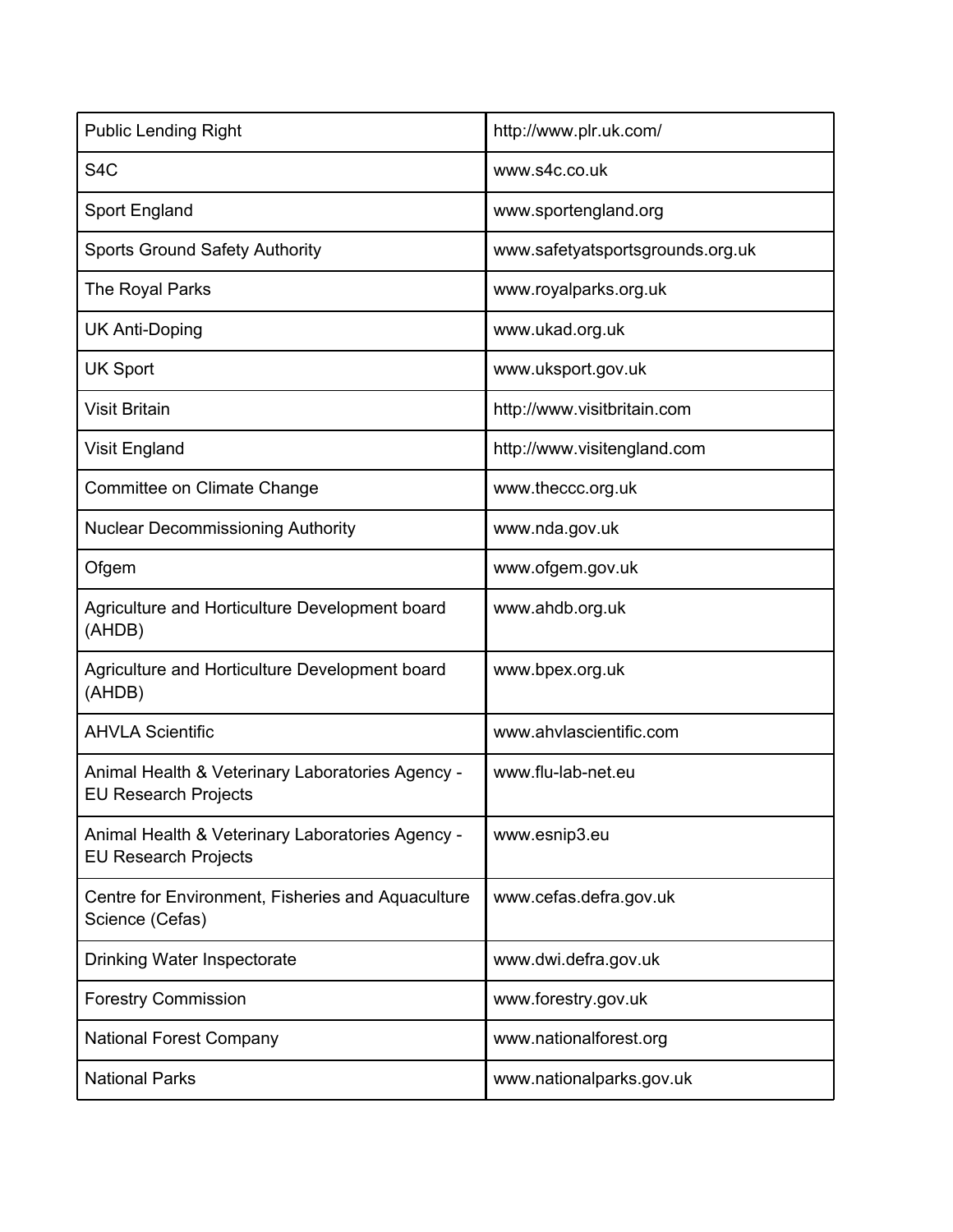| <b>Public Lending Right</b>                                                     | http://www.plr.uk.com/           |
|---------------------------------------------------------------------------------|----------------------------------|
| S <sub>4</sub> C                                                                | www.s4c.co.uk                    |
| Sport England                                                                   | www.sportengland.org             |
| <b>Sports Ground Safety Authority</b>                                           | www.safetyatsportsgrounds.org.uk |
| The Royal Parks                                                                 | www.royalparks.org.uk            |
| <b>UK Anti-Doping</b>                                                           | www.ukad.org.uk                  |
| <b>UK Sport</b>                                                                 | www.uksport.gov.uk               |
| <b>Visit Britain</b>                                                            | http://www.visitbritain.com      |
| <b>Visit England</b>                                                            | http://www.visitengland.com      |
| Committee on Climate Change                                                     | www.theccc.org.uk                |
| <b>Nuclear Decommissioning Authority</b>                                        | www.nda.gov.uk                   |
| Ofgem                                                                           | www.ofgem.gov.uk                 |
| Agriculture and Horticulture Development board<br>(AHDB)                        | www.ahdb.org.uk                  |
| Agriculture and Horticulture Development board<br>(AHDB)                        | www.bpex.org.uk                  |
| <b>AHVLA Scientific</b>                                                         | www.ahvlascientific.com          |
| Animal Health & Veterinary Laboratories Agency -<br><b>EU Research Projects</b> | www.flu-lab-net.eu               |
| Animal Health & Veterinary Laboratories Agency -<br><b>EU Research Projects</b> | www.esnip3.eu                    |
| Centre for Environment, Fisheries and Aquaculture<br>Science (Cefas)            | www.cefas.defra.gov.uk           |
| <b>Drinking Water Inspectorate</b>                                              | www.dwi.defra.gov.uk             |
| <b>Forestry Commission</b>                                                      | www.forestry.gov.uk              |
| <b>National Forest Company</b>                                                  | www.nationalforest.org           |
| <b>National Parks</b>                                                           | www.nationalparks.gov.uk         |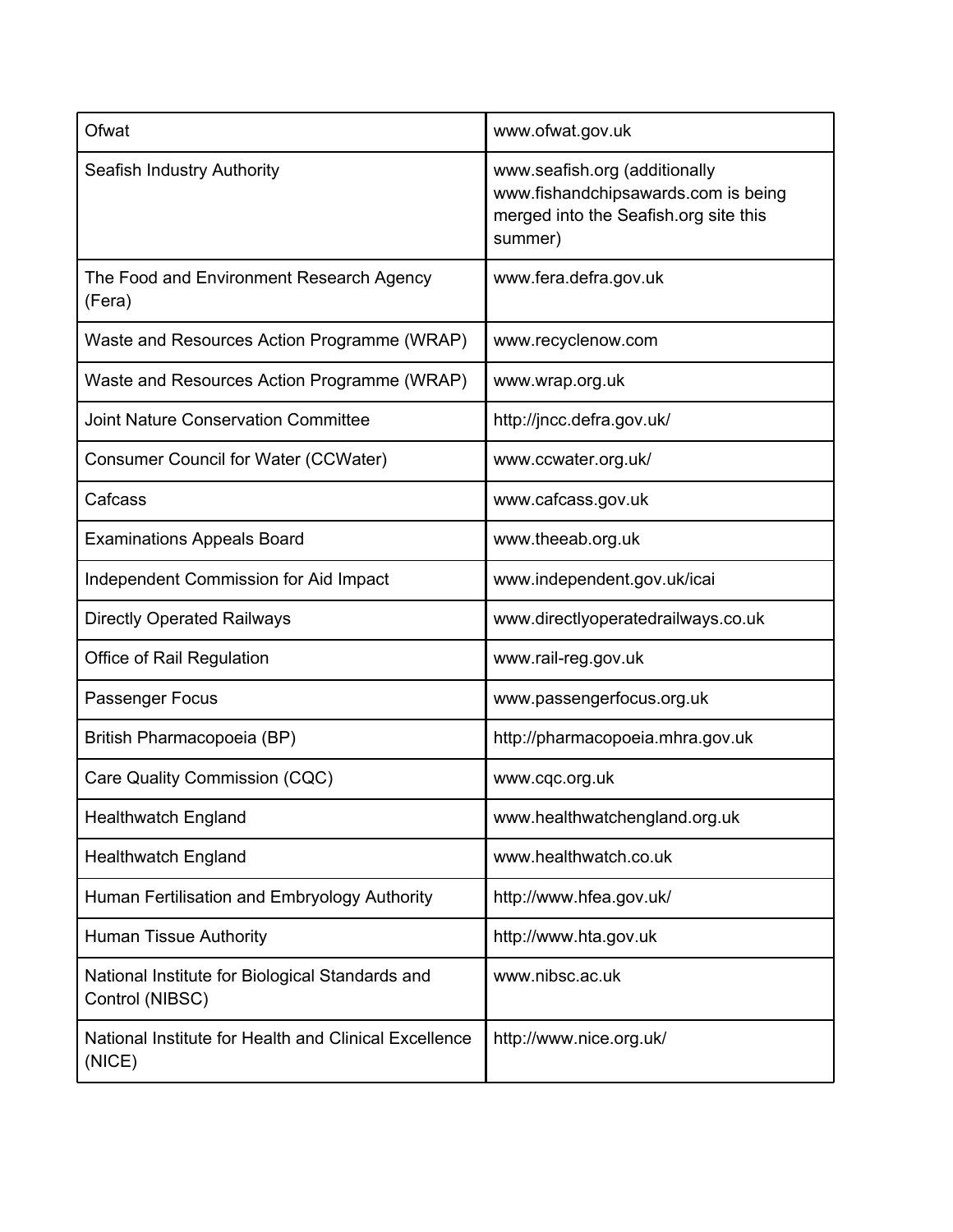| Ofwat                                                              | www.ofwat.gov.uk                                                                                                         |
|--------------------------------------------------------------------|--------------------------------------------------------------------------------------------------------------------------|
| Seafish Industry Authority                                         | www.seafish.org (additionally<br>www.fishandchipsawards.com is being<br>merged into the Seafish.org site this<br>summer) |
| The Food and Environment Research Agency<br>(Fera)                 | www.fera.defra.gov.uk                                                                                                    |
| Waste and Resources Action Programme (WRAP)                        | www.recyclenow.com                                                                                                       |
| Waste and Resources Action Programme (WRAP)                        | www.wrap.org.uk                                                                                                          |
| <b>Joint Nature Conservation Committee</b>                         | http://jncc.defra.gov.uk/                                                                                                |
| Consumer Council for Water (CCWater)                               | www.ccwater.org.uk/                                                                                                      |
| Cafcass                                                            | www.cafcass.gov.uk                                                                                                       |
| <b>Examinations Appeals Board</b>                                  | www.theeab.org.uk                                                                                                        |
| Independent Commission for Aid Impact                              | www.independent.gov.uk/icai                                                                                              |
| <b>Directly Operated Railways</b>                                  | www.directlyoperatedrailways.co.uk                                                                                       |
| Office of Rail Regulation                                          | www.rail-reg.gov.uk                                                                                                      |
| Passenger Focus                                                    | www.passengerfocus.org.uk                                                                                                |
| British Pharmacopoeia (BP)                                         | http://pharmacopoeia.mhra.gov.uk                                                                                         |
| Care Quality Commission (CQC)                                      | www.cqc.org.uk                                                                                                           |
| <b>Healthwatch England</b>                                         | www.healthwatchengland.org.uk                                                                                            |
| <b>Healthwatch England</b>                                         | www.healthwatch.co.uk                                                                                                    |
| Human Fertilisation and Embryology Authority                       | http://www.hfea.gov.uk/                                                                                                  |
| <b>Human Tissue Authority</b>                                      | http://www.hta.gov.uk                                                                                                    |
| National Institute for Biological Standards and<br>Control (NIBSC) | www.nibsc.ac.uk                                                                                                          |
| National Institute for Health and Clinical Excellence<br>(NICE)    | http://www.nice.org.uk/                                                                                                  |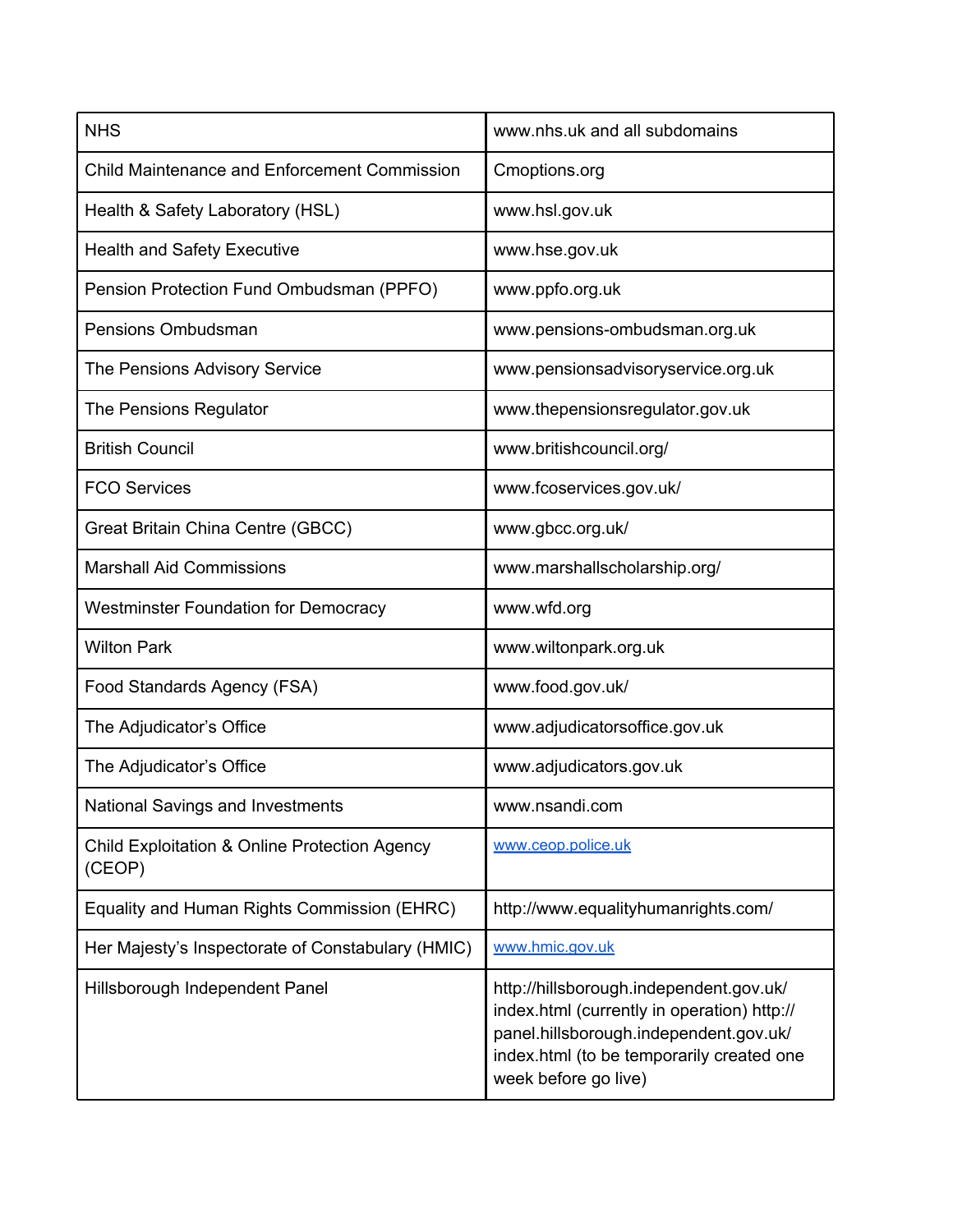| <b>NHS</b>                                                         | www.nhs.uk and all subdomains                                                                                                                                                                         |
|--------------------------------------------------------------------|-------------------------------------------------------------------------------------------------------------------------------------------------------------------------------------------------------|
| <b>Child Maintenance and Enforcement Commission</b>                | Cmoptions.org                                                                                                                                                                                         |
| Health & Safety Laboratory (HSL)                                   | www.hsl.gov.uk                                                                                                                                                                                        |
| <b>Health and Safety Executive</b>                                 | www.hse.gov.uk                                                                                                                                                                                        |
| Pension Protection Fund Ombudsman (PPFO)                           | www.ppfo.org.uk                                                                                                                                                                                       |
| Pensions Ombudsman                                                 | www.pensions-ombudsman.org.uk                                                                                                                                                                         |
| The Pensions Advisory Service                                      | www.pensionsadvisoryservice.org.uk                                                                                                                                                                    |
| The Pensions Regulator                                             | www.thepensionsregulator.gov.uk                                                                                                                                                                       |
| <b>British Council</b>                                             | www.britishcouncil.org/                                                                                                                                                                               |
| <b>FCO Services</b>                                                | www.fcoservices.gov.uk/                                                                                                                                                                               |
| Great Britain China Centre (GBCC)                                  | www.gbcc.org.uk/                                                                                                                                                                                      |
| <b>Marshall Aid Commissions</b>                                    | www.marshallscholarship.org/                                                                                                                                                                          |
| <b>Westminster Foundation for Democracy</b>                        | www.wfd.org                                                                                                                                                                                           |
| <b>Wilton Park</b>                                                 | www.wiltonpark.org.uk                                                                                                                                                                                 |
| Food Standards Agency (FSA)                                        | www.food.gov.uk/                                                                                                                                                                                      |
| The Adjudicator's Office                                           | www.adjudicatorsoffice.gov.uk                                                                                                                                                                         |
| The Adjudicator's Office                                           | www.adjudicators.gov.uk                                                                                                                                                                               |
| <b>National Savings and Investments</b>                            | www.nsandi.com                                                                                                                                                                                        |
| <b>Child Exploitation &amp; Online Protection Agency</b><br>(CEOP) | www.ceop.police.uk                                                                                                                                                                                    |
| Equality and Human Rights Commission (EHRC)                        | http://www.equalityhumanrights.com/                                                                                                                                                                   |
| Her Majesty's Inspectorate of Constabulary (HMIC)                  | www.hmic.gov.uk                                                                                                                                                                                       |
| Hillsborough Independent Panel                                     | http://hillsborough.independent.gov.uk/<br>index.html (currently in operation) http://<br>panel.hillsborough.independent.gov.uk/<br>index.html (to be temporarily created one<br>week before go live) |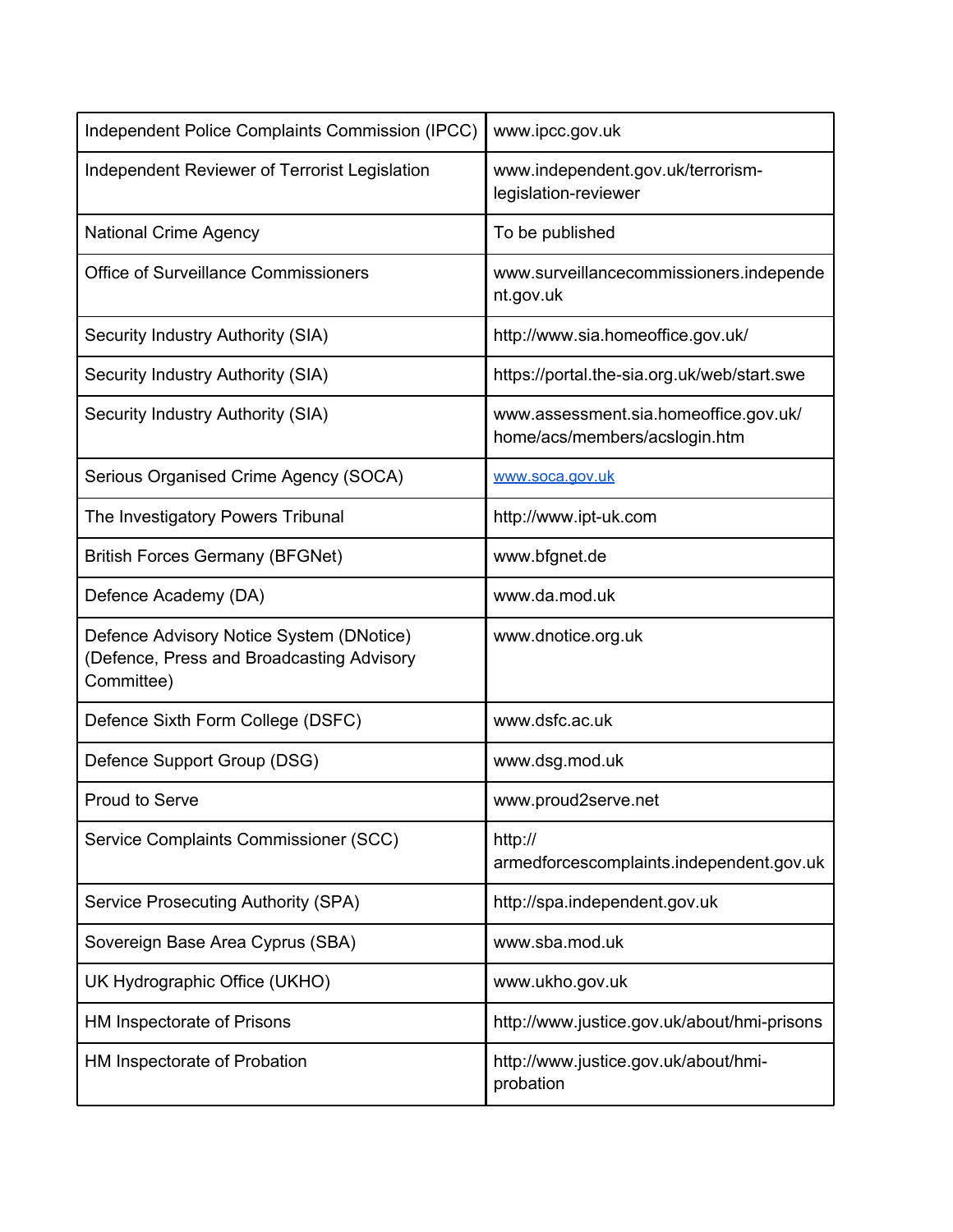| Independent Police Complaints Commission (IPCC)                                                     | www.ipcc.gov.uk                                                        |
|-----------------------------------------------------------------------------------------------------|------------------------------------------------------------------------|
| Independent Reviewer of Terrorist Legislation                                                       | www.independent.gov.uk/terrorism-<br>legislation-reviewer              |
| <b>National Crime Agency</b>                                                                        | To be published                                                        |
| <b>Office of Surveillance Commissioners</b>                                                         | www.surveillancecommissioners.independe<br>nt.gov.uk                   |
| Security Industry Authority (SIA)                                                                   | http://www.sia.homeoffice.gov.uk/                                      |
| Security Industry Authority (SIA)                                                                   | https://portal.the-sia.org.uk/web/start.swe                            |
| Security Industry Authority (SIA)                                                                   | www.assessment.sia.homeoffice.gov.uk/<br>home/acs/members/acslogin.htm |
| Serious Organised Crime Agency (SOCA)                                                               | www.soca.gov.uk                                                        |
| The Investigatory Powers Tribunal                                                                   | http://www.ipt-uk.com                                                  |
| <b>British Forces Germany (BFGNet)</b>                                                              | www.bfgnet.de                                                          |
| Defence Academy (DA)                                                                                | www.da.mod.uk                                                          |
| Defence Advisory Notice System (DNotice)<br>(Defence, Press and Broadcasting Advisory<br>Committee) | www.dnotice.org.uk                                                     |
| Defence Sixth Form College (DSFC)                                                                   | www.dsfc.ac.uk                                                         |
| Defence Support Group (DSG)                                                                         | www.dsg.mod.uk                                                         |
| <b>Proud to Serve</b>                                                                               | www.proud2serve.net                                                    |
| Service Complaints Commissioner (SCC)                                                               | http://<br>armedforcescomplaints.independent.gov.uk                    |
| <b>Service Prosecuting Authority (SPA)</b>                                                          | http://spa.independent.gov.uk                                          |
| Sovereign Base Area Cyprus (SBA)                                                                    | www.sba.mod.uk                                                         |
| UK Hydrographic Office (UKHO)                                                                       | www.ukho.gov.uk                                                        |
| HM Inspectorate of Prisons                                                                          | http://www.justice.gov.uk/about/hmi-prisons                            |
| HM Inspectorate of Probation                                                                        | http://www.justice.gov.uk/about/hmi-<br>probation                      |